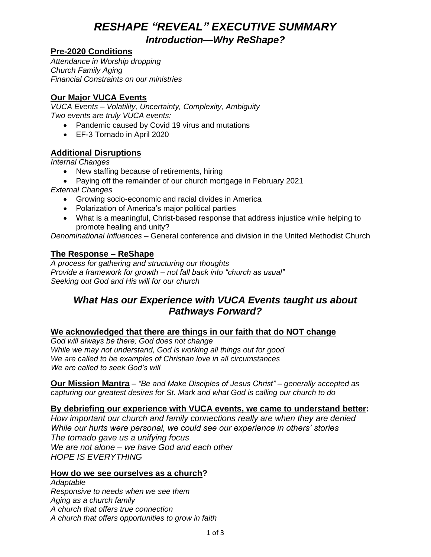# *RESHAPE "REVEAL" EXECUTIVE SUMMARY*

*Introduction—Why ReShape?*

### **Pre-2020 Conditions**

*Attendance in Worship dropping Church Family Aging Financial Constraints on our ministries*

### **Our Major VUCA Events**

*VUCA Events – Volatility, Uncertainty, Complexity, Ambiguity Two events are truly VUCA events:*

- Pandemic caused by Covid 19 virus and mutations
- EF-3 Tornado in April 2020

### **Additional Disruptions**

*Internal Changes*

- New staffing because of retirements, hiring
- Paying off the remainder of our church mortgage in February 2021

*External Changes*

- Growing socio-economic and racial divides in America
- Polarization of America's major political parties
- What is a meaningful, Christ-based response that address injustice while helping to promote healing and unity?

*Denominational Influences* – General conference and division in the United Methodist Church

### **The Response – ReShape**

*A process for gathering and structuring our thoughts Provide a framework for growth – not fall back into "church as usual" Seeking out God and His will for our church*

# *What Has our Experience with VUCA Events taught us about Pathways Forward?*

#### **We acknowledged that there are things in our faith that do NOT change**

*God will always be there; God does not change While we may not understand, God is working all things out for good We are called to be examples of Christian love in all circumstances We are called to seek God's will*

**Our Mission Mantra** *– "Be and Make Disciples of Jesus Christ" – generally accepted as capturing our greatest desires for St. Mark and what God is calling our church to do*

#### **By debriefing our experience with VUCA events, we came to understand better:**

*How important our church and family connections really are when they are denied While our hurts were personal, we could see our experience in others' stories The tornado gave us a unifying focus We are not alone – we have God and each other HOPE IS EVERYTHING*

#### **How do we see ourselves as a church?**

*Adaptable Responsive to needs when we see them Aging as a church family A church that offers true connection A church that offers opportunities to grow in faith*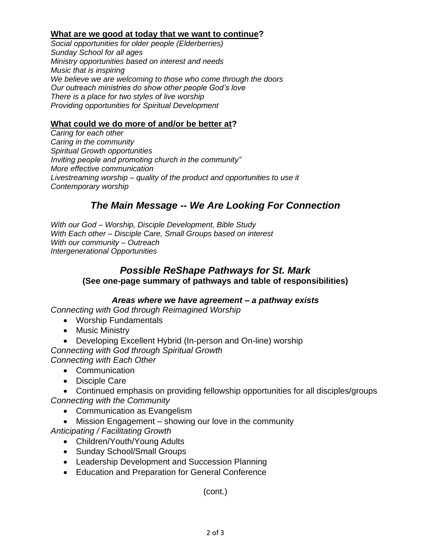#### **What are we good at today that we want to continue?**

*Social opportunities for older people (Elderberries) Sunday School for all ages Ministry opportunities based on interest and needs Music that is inspiring We believe we are welcoming to those who come through the doors Our outreach ministries do show other people God's love There is a place for two styles of live worship Providing opportunities for Spiritual Development*

#### **What could we do more of and/or be better at?**

*Caring for each other Caring in the community Spiritual Growth opportunities Inviting people and promoting church in the community" More effective communication Livestreaming worship – quality of the product and opportunities to use it Contemporary worship*

# *The Main Message -- We Are Looking For Connection*

*With our God – Worship, Disciple Development, Bible Study With Each other – Disciple Care, Small Groups based on interest With our community – Outreach Intergenerational Opportunities*

### *Possible ReShape Pathways for St. Mark* **(See one-page summary of pathways and table of responsibilities)**

#### *Areas where we have agreement – a pathway exists*

*Connecting with God through Reimagined Worship*

- Worship Fundamentals
- Music Ministry
- Developing Excellent Hybrid (In-person and On-line) worship *Connecting with God through Spiritual Growth Connecting with Each Other*
	- Communication
	- Disciple Care

• Continued emphasis on providing fellowship opportunities for all disciples/groups *Connecting with the Community*

- Communication as Evangelism
- Mission Engagement showing our love in the community

*Anticipating / Facilitating Growth*

- Children/Youth/Young Adults
- Sunday School/Small Groups
- Leadership Development and Succession Planning
- Education and Preparation for General Conference

(cont.)